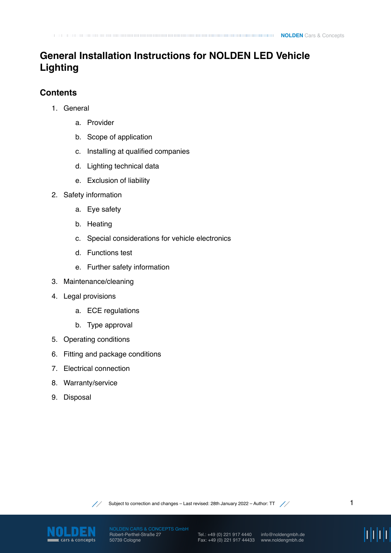# **General Installation Instructions for NOLDEN LED Vehicle Lighting**

# **Contents**

- 1. General
	- a. Provider
	- b. Scope of application
	- c. Installing at qualified companies
	- d. Lighting technical data
	- e. Exclusion of liability
- 2. Safety information
	- a. Eye safety
	- b. Heating
	- c. Special considerations for vehicle electronics
	- d. Functions test
	- e. Further safety information
- 3. Maintenance/cleaning
- 4. Legal provisions
	- a. ECE regulations
	- b. Type approval
- 5. Operating conditions
- 6. Fitting and package conditions
- 7. Electrical connection
- 8. Warranty/service
- 9. Disposal



Subject to correction and changes – Last revised: 28th January 2022 – Author: TT  $\angle$ 



Robert-Perthel-Straße 27 50739 Cologne

Tel.: +49 (0) 221 917 4440 Fax: +49 (0) 221 917 44433 www.noldengmbh.de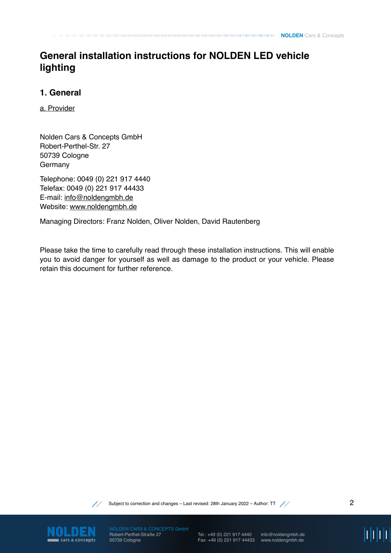# **General installation instructions for NOLDEN LED vehicle lighting**

## **1. General**

a. Provider

Nolden Cars & Concepts GmbH Robert-Perthel-Str. 27 50739 Cologne Germany

Telephone: 0049 (0) 221 917 4440 Telefax: 0049 (0) 221 917 44433 E-mail: [info@noldengmbh.de](mailto:info@noldengmbh.de) Website: [www.noldengmbh.de](http://www.noldengmbh.de)

Managing Directors: Franz Nolden, Oliver Nolden, David Rautenberg

Please take the time to carefully read through these installation instructions. This will enable you to avoid danger for yourself as well as damage to the product or your vehicle. Please retain this document for further reference.



Subject to correction and changes – Last revised: 28th January 2022 – Author: TT  $\diagup$ 



Robert-Perthel-Straße 27 50739 Cologne

Tel.: +49 (0) 221 917 4440 Fax: +49 (0) 221 917 44433 www.noldengmbh.de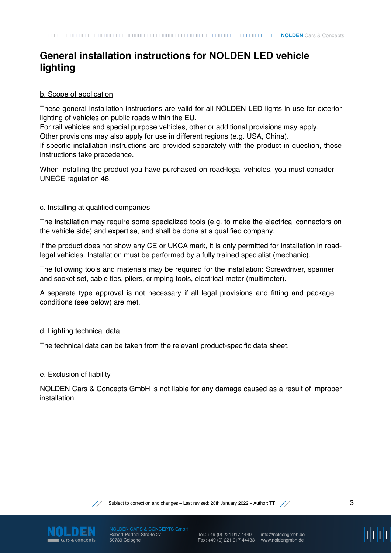# **General installation instructions for NOLDEN LED vehicle lighting**

#### b. Scope of application

These general installation instructions are valid for all NOLDEN LED lights in use for exterior lighting of vehicles on public roads within the EU.

For rail vehicles and special purpose vehicles, other or additional provisions may apply. Other provisions may also apply for use in different regions (e.g. USA, China).

If specific installation instructions are provided separately with the product in question, those instructions take precedence.

When installing the product you have purchased on road-legal vehicles, you must consider UNECE regulation 48.

#### c. Installing at qualified companies

The installation may require some specialized tools (e.g. to make the electrical connectors on the vehicle side) and expertise, and shall be done at a qualified company.

If the product does not show any CE or UKCA mark, it is only permitted for installation in roadlegal vehicles. Installation must be performed by a fully trained specialist (mechanic).

The following tools and materials may be required for the installation: Screwdriver, spanner and socket set, cable ties, pliers, crimping tools, electrical meter (multimeter).

A separate type approval is not necessary if all legal provisions and fitting and package conditions (see below) are met.

#### d. Lighting technical data

The technical data can be taken from the relevant product-specific data sheet.

#### e. Exclusion of liability

NOLDEN Cars & Concepts GmbH is not liable for any damage caused as a result of improper installation.



Subject to correction and changes – Last revised: 28th January 2022 – Author: TT  $\quad$  /  $\quad$   $\quad$  3



Robert-Perthel-Straße 27 50739 Cologne

Tel.: +49 (0) 221 917 4440 Fax: +49 (0) 221 917 44433 www.noldengmbh.de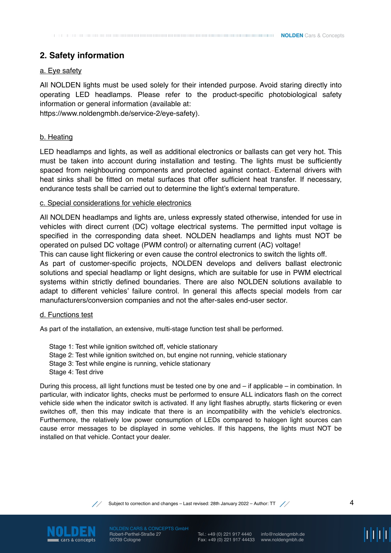### **2. Safety information**

#### a. Eye safety

All NOLDEN lights must be used solely for their intended purpose. Avoid staring directly into operating LED headlamps. Please refer to the product-specific photobiological safety information or general information (available at:

[https://www.noldengmbh.de/service-2/eye-safety](https://www.noldengmbh.de/unternehmen/augensicherheit)).

#### b. Heating

LED headlamps and lights, as well as additional electronics or ballasts can get very hot. This must be taken into account during installation and testing. The lights must be sufficiently spaced from neighbouring components and protected against contact. External drivers with heat sinks shall be fitted on metal surfaces that offer sufficient heat transfer. If necessary, endurance tests shall be carried out to determine the light's external temperature.

#### c. Special considerations for vehicle electronics

All NOLDEN headlamps and lights are, unless expressly stated otherwise, intended for use in vehicles with direct current (DC) voltage electrical systems. The permitted input voltage is specified in the corresponding data sheet. NOLDEN headlamps and lights must NOT be operated on pulsed DC voltage (PWM control) or alternating current (AC) voltage!

This can cause light flickering or even cause the control electronics to switch the lights off. As part of customer-specific projects, NOLDEN develops and delivers ballast electronic solutions and special headlamp or light designs, which are suitable for use in PWM electrical systems within strictly defined boundaries. There are also NOLDEN solutions available to adapt to different vehicles' failure control. In general this affects special models from car manufacturers/conversion companies and not the after-sales end-user sector.

#### d. Functions test

As part of the installation, an extensive, multi-stage function test shall be performed.

Stage 1: Test while ignition switched off, vehicle stationary Stage 2: Test while ignition switched on, but engine not running, vehicle stationary Stage 3: Test while engine is running, vehicle stationary Stage 4: Test drive

During this process, all light functions must be tested one by one and – if applicable – in combination. In particular, with indicator lights, checks must be performed to ensure ALL indicators flash on the correct vehicle side when the indicator switch is activated. If any light flashes abruptly, starts flickering or even switches off, then this may indicate that there is an incompatibility with the vehicle's electronics. Furthermore, the relatively low power consumption of LEDs compared to halogen light sources can cause error messages to be displayed in some vehicles. If this happens, the lights must NOT be installed on that vehicle. Contact your dealer.



Subject to correction and changes – Last revised: 28th January 2022 – Author: TT  $\angle$ 



Robert-Perthel-Straße 27 50739 Cologne

Tel.: +49 (0) 221 917 4440 Fax: +49 (0) 221 917 44433 www.noldengmbh.de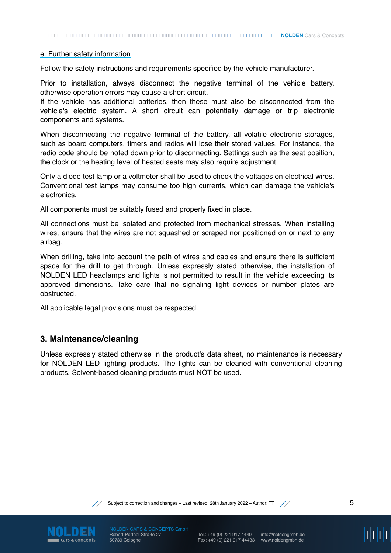**NOLDEN** Cars & Concepts

#### e. Further safety information

Follow the safety instructions and requirements specified by the vehicle manufacturer.

Prior to installation, always disconnect the negative terminal of the vehicle battery, otherwise operation errors may cause a short circuit.

If the vehicle has additional batteries, then these must also be disconnected from the vehicle's electric system. A short circuit can potentially damage or trip electronic components and systems.

When disconnecting the negative terminal of the battery, all volatile electronic storages, such as board computers, timers and radios will lose their stored values. For instance, the radio code should be noted down prior to disconnecting. Settings such as the seat position, the clock or the heating level of heated seats may also require adjustment.

Only a diode test lamp or a voltmeter shall be used to check the voltages on electrical wires. Conventional test lamps may consume too high currents, which can damage the vehicle's electronics.

All components must be suitably fused and properly fixed in place.

All connections must be isolated and protected from mechanical stresses. When installing wires, ensure that the wires are not squashed or scraped nor positioned on or next to any airbag.

When drilling, take into account the path of wires and cables and ensure there is sufficient space for the drill to get through. Unless expressly stated otherwise, the installation of NOLDEN LED headlamps and lights is not permitted to result in the vehicle exceeding its approved dimensions. Take care that no signaling light devices or number plates are obstructed.

All applicable legal provisions must be respected.

### **3. Maintenance/cleaning**

Unless expressly stated otherwise in the product's data sheet, no maintenance is necessary for NOLDEN LED lighting products. The lights can be cleaned with conventional cleaning products. Solvent-based cleaning products must NOT be used.



Subject to correction and changes – Last revised: 28th January 2022 – Author: TT  $\angle$  /  $\angle$  5



Robert-Perthel-Straße 27 50739 Cologne

Tel.: +49 (0) 221 917 4440 Fax: +49 (0) 221 917 44433 www.noldengmbh.de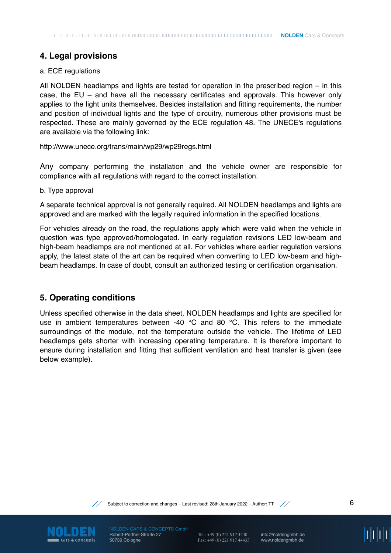# **4. Legal provisions**

#### a. ECE regulations

All NOLDEN headlamps and lights are tested for operation in the prescribed region – in this case, the EU – and have all the necessary certificates and approvals. This however only applies to the light units themselves. Besides installation and fitting requirements, the number and position of individual lights and the type of circuitry, numerous other provisions must be respected. These are mainly governed by the ECE regulation 48. The UNECE's regulations are available via the following link:

<http://www.unece.org/trans/main/wp29/wp29regs.html>

Any company performing the installation and the vehicle owner are responsible for compliance with all regulations with regard to the correct installation.

#### b. Type approval

A separate technical approval is not generally required. All NOLDEN headlamps and lights are approved and are marked with the legally required information in the specified locations.

For vehicles already on the road, the regulations apply which were valid when the vehicle in question was type approved/homologated. In early regulation revisions LED low-beam and high-beam headlamps are not mentioned at all. For vehicles where earlier regulation versions apply, the latest state of the art can be required when converting to LED low-beam and highbeam headlamps. In case of doubt, consult an authorized testing or certification organisation.

### **5. Operating conditions**

Unless specified otherwise in the data sheet, NOLDEN headlamps and lights are specified for use in ambient temperatures between -40  $^{\circ}$ C and 80  $^{\circ}$ C. This refers to the immediate surroundings of the module, not the temperature outside the vehicle. The lifetime of LED headlamps gets shorter with increasing operating temperature. It is therefore important to ensure during installation and fitting that sufficient ventilation and heat transfer is given (see below example).



Subject to correction and changes – Last revised: 28th January 2022 – Author: TT  $\quad$  //



Robert-Perthel-Straße 27 50739 Cologne

Tel.: +49 (0) 221 917 4440 Fax: +49 (0) 221 917 44433

info@noldengmbh.de www.noldengmbh.de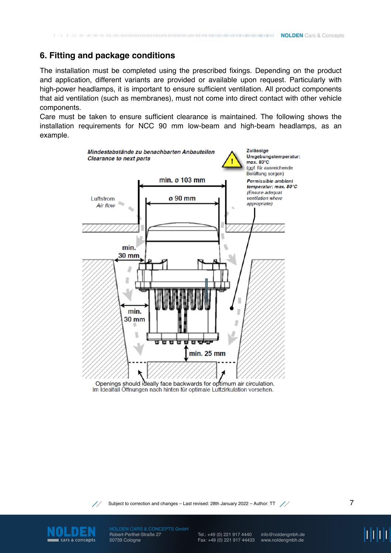### **6. Fitting and package conditions**

The installation must be completed using the prescribed fixings. Depending on the product and application, different variants are provided or available upon request. Particularly with high-power headlamps, it is important to ensure sufficient ventilation. All product components that aid ventilation (such as membranes), must not come into direct contact with other vehicle components.

Care must be taken to ensure sufficient clearance is maintained. The following shows the installation requirements for NCC 90 mm low-beam and high-beam headlamps, as an example.



Openings should ideally face backwards for optimum air circulation.



Subject to correction and changes - Last revised: 28th January 2022 - Author: TT //



Robert-Perthel-Straße 27 50739 Cologne

Tel.: +49 (0) 221 917 4440 Fax: +49 (0) 221 917 44433

info@noldengmbh.de www.noldengmbh.de